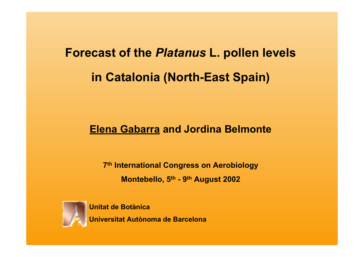# **Forecast of the** *Platanus* **L. pollen levels in Catalonia (North-East Spain)**

# **Elena Gabarra and Jordina Belmonte**

**7th International Congress on Aerobiology Montebello, 5th - 9th August 2002**



**Unitat de BotànicaUniversitat Autònoma de Barcelona**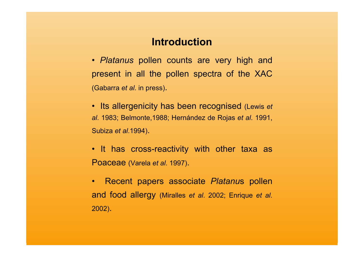# **Introduction**

- • *Platanus* pollen counts are very high and present in all the pollen spectra of the XAC (Gabarra *et al*. in press).
- Its allergenicity has been recognised (Lewis *et al*. 1983; Belmonte,1988; Hernández de Rojas *et al*. 1991, Subiza *et al*.1994).
- It has cross-reactivity with other taxa as Poaceae (Varela *et al*. 1997).
- Recent papers associate *Platanu*s pollen and food allergy (Miralles *et al*. 2002; Enrique *et al*. 2002).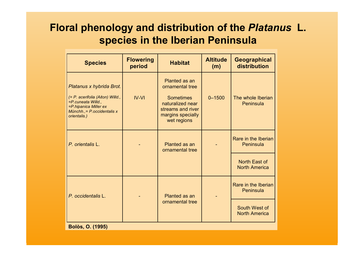# **Floral phenology and distribution of the** *Platanus* **L. species in the Iberian Peninsula**

| <b>Species</b>                                                                                                                                             | <b>Flowering</b><br>period | <b>Habitat</b>                                                                                                                    | <b>Altitude</b><br>(m) | <b>Geographical</b><br>distribution   |  |  |  |
|------------------------------------------------------------------------------------------------------------------------------------------------------------|----------------------------|-----------------------------------------------------------------------------------------------------------------------------------|------------------------|---------------------------------------|--|--|--|
| Platanus x hybrida Brot.<br>(= P. acerifolia (Aiton) Willd.,<br>=P.cuneata Willd.,<br>=P.hipanica Miller ex<br>Münchh., = P.occidentalis x<br>orientalis.) | $IV-VI$                    | Planted as an<br>ornamental tree<br><b>Sometimes</b><br>naturalized near<br>streams and river<br>margins specially<br>wet regions | $0 - 1500$             | The whole Iberian<br>Peninsula        |  |  |  |
| P. orientalis L.                                                                                                                                           |                            | Planted as an<br>ornamental tree                                                                                                  |                        | Rare in the Iberian<br>Peninsula      |  |  |  |
|                                                                                                                                                            |                            |                                                                                                                                   |                        | North East of<br><b>North America</b> |  |  |  |
| P. occidentalis L.                                                                                                                                         |                            | Planted as an                                                                                                                     |                        | Rare in the Iberian<br>Peninsula      |  |  |  |
|                                                                                                                                                            |                            | ornamental tree                                                                                                                   |                        | South West of<br><b>North America</b> |  |  |  |
| <b>Bolòs, O. (1995)</b>                                                                                                                                    |                            |                                                                                                                                   |                        |                                       |  |  |  |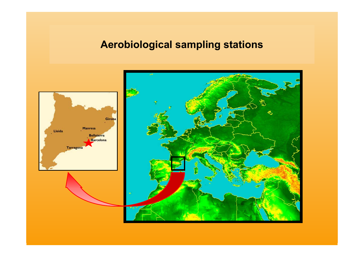# **Aerobiological sampling stations**

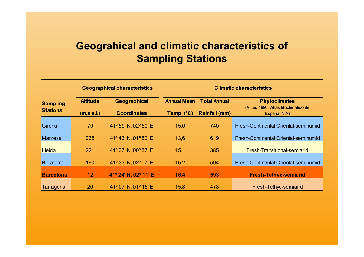# **Geograhical and climatic characteristics of Sampling Stations**

|                                    |                 | <b>Geographical characteristics</b> | <b>Climatic characteristics</b> |                      |                                                              |  |
|------------------------------------|-----------------|-------------------------------------|---------------------------------|----------------------|--------------------------------------------------------------|--|
| <b>Sampling</b><br><b>Stations</b> | <b>Altitude</b> | Geographical                        |                                 | <b>Total Annual</b>  | <b>Phytoclimates</b><br>(Allue, 1990. Atlas fitoclimático de |  |
|                                    | (m.a.s.l.)      | <b>Coordinates</b>                  | Temp. (°C)                      | <b>Rainfall (mm)</b> | España.INIA)                                                 |  |
| Girona                             | 70              | 41° 59' N, 02° 60' E                | 15,0                            | 740                  | Fresh-Continental Oriental-semihumid                         |  |
| <b>Manresa</b>                     | 238             | 41°43' N, 01°50' E                  | 13,6                            | 619                  | Fresh-Continental Oriental-semihumid                         |  |
| <b>Lleida</b>                      | 221             | 41° 37' N, 00° 37' E                | 15,1                            | 385                  | Fresh-Transitional-semiarid                                  |  |
| <b>Bellaterra</b>                  | 190             | 41° 33' N, 02° 07' E                | 15,2                            | 594                  | Fresh-Continental Oriental-semihumid                         |  |
| <b>Barcelona</b>                   | 12              | 41° 24' N, 02° 11' E                | 16,4                            | 593                  | <b>Fresh-Tethyc-semiarid</b>                                 |  |
| Tarragona                          | 20              | 41° 07' N, 01° 15' E                | 15,8                            | 478                  | Fresh-Tethyc-semiarid                                        |  |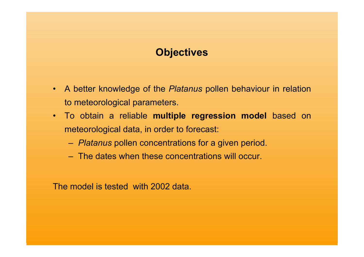# **Objectives**

- A better knowledge of the *Platanus* pollen behaviour in relation to meteorological parameters.
- To obtain a reliable **multiple regression model** based on meteorological data, in order to forecast:
	- *Platanus* pollen concentrations for a given period.
	- The dates when these concentrations will occur.

The model is tested with 2002 data.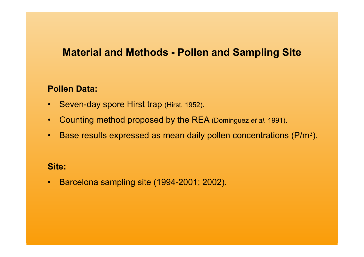# **Material and Methods - Pollen and Sampling Site**

### **Pollen Data:**

- •Seven-day spore Hirst trap (Hirst, 1952).
- $\bullet$ Counting method proposed by the REA (Dominguez *et al*. 1991).
- •Base results expressed as mean daily pollen concentrations (P/m 3).

#### **Site:**

•Barcelona sampling site (1994-2001; 2002).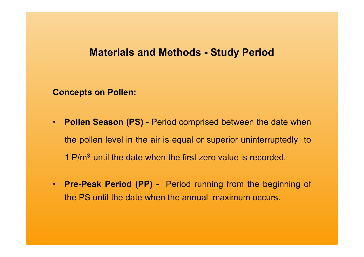# **Materials and Methods - Study Period**

**Concepts on Pollen:**

- **Pollen Season (PS)** Period comprised between the date when the pollen level in the air is equal or superior uninterruptedly to 1 P/m3 until the date when the first zero value is recorded.
- **Pre-Peak Period (PP)** Period running from the beginning of the PS until the date when the annual maximum occurs.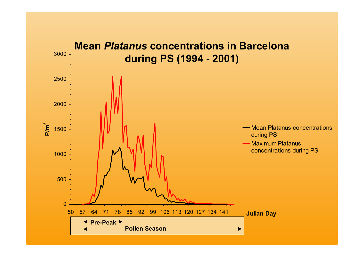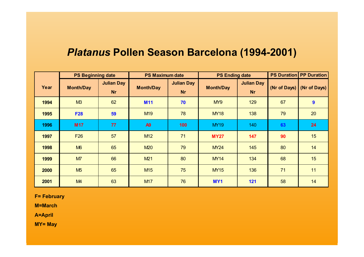# *Platanus* **Pollen Season Barcelona (1994-2001)**

|      | <b>PS Beginning date</b> |                                | <b>PS Maximum date</b> |                                | <b>PS Ending date</b> |                                |    | <b>PS Duration PP Duration</b> |
|------|--------------------------|--------------------------------|------------------------|--------------------------------|-----------------------|--------------------------------|----|--------------------------------|
| Year | <b>Month/Day</b>         | <b>Julian Day</b><br><b>Nr</b> | <b>Month/Day</b>       | <b>Julian Day</b><br><b>Nr</b> | <b>Month/Day</b>      | <b>Julian Day</b><br><b>Nr</b> |    | (Nr of Days) $(Nr$ of Days)    |
| 1994 | M3                       | 62                             | <b>M11</b>             | 70                             | MY9                   | 129                            | 67 | 9                              |
| 1995 | <b>F28</b>               | 59                             | M <sub>19</sub>        | 78                             | <b>MY18</b>           | 138                            | 79 | 20                             |
| 1996 | <b>M17</b>               | 77                             | A <sub>9</sub>         | 100                            | <b>MY19</b>           | 140                            | 63 | 24                             |
| 1997 | F <sub>26</sub>          | 57                             | M <sub>12</sub>        | 71                             | <b>MY27</b>           | 147                            | 90 | 15                             |
| 1998 | M6                       | 65                             | <b>M20</b>             | 79                             | <b>MY24</b>           | 145                            | 80 | 14                             |
| 1999 | M7                       | 66                             | M21                    | 80                             | <b>MY14</b>           | 134                            | 68 | 15                             |
| 2000 | M <sub>5</sub>           | 65                             | M <sub>15</sub>        | 75                             | <b>MY15</b>           | 136                            | 71 | 11                             |
| 2001 | M <sub>4</sub>           | 63                             | <b>M17</b>             | 76                             | MY <sub>1</sub>       | 121                            | 58 | 14                             |

**F= February**

**M=March**

**A=April**

**MY= May**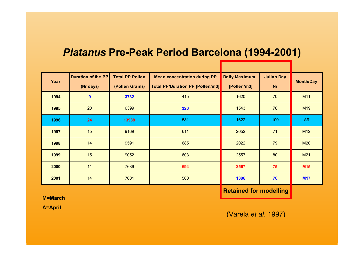# *Platanus* **Pre-Peak Period Barcelona (1994-2001)**

| Year | <b>Duration of the PP</b> | <b>Total PP Pollen</b> | <b>Mean concentration during PP</b>     | <b>Daily Maximum</b> | <b>Julian Day</b> | <b>Month/Day</b> |
|------|---------------------------|------------------------|-----------------------------------------|----------------------|-------------------|------------------|
|      | (Nr days)                 | (Pollen Grains)        | <b>Total PP/Duration PP [Pollen/m3]</b> | [Pollen/m3]          | <b>Nr</b>         |                  |
| 1994 | 9                         | 3732                   | 415                                     | 1620                 | 70                | M11              |
| 1995 | 20                        | 6399                   | 320                                     | 1543                 | 78                | M <sub>19</sub>  |
| 1996 | 24                        | 13938                  | 581                                     | 1622                 | 100               | A9               |
| 1997 | 15                        | 9169                   | 611                                     | 2052                 | 71                | M <sub>12</sub>  |
| 1998 | 14                        | 9591                   | 685                                     | 2022                 | 79                | <b>M20</b>       |
| 1999 | 15                        | 9052                   | 603                                     | 2557                 | 80                | M21              |
| 2000 | 11                        | 7636                   | 694                                     | 2567                 | 75                | <b>M15</b>       |
| 2001 | 14                        | 7001                   | 500                                     | 1386                 | 76                | <b>M17</b>       |

**Retained for modelling**

**M=March**

**A=April**

(Varela *et al*. 1997)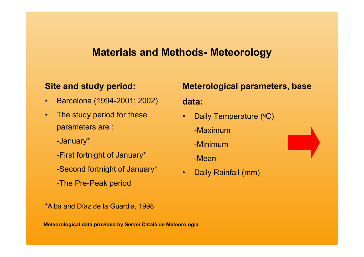# **Materials and Methods- Meteorology**

#### **Site and study period:**

- •Barcelona (1994-2001; 2002)
- • The study period for these parameters are :

-January\*

- -First fortnight of January\*
- -Second fortnight of January\*
- -The Pre-Peak period

\*Alba and Díaz de la Guardia, 1998

#### **Meteorological data provided by Servei Català de Meteorologia**

# **Meterological parameters, base data:**

- •Daily Temperature (°C)
	- -Maximum
	- -Minimum
	- -Mean
- •Daily Rainfall (mm)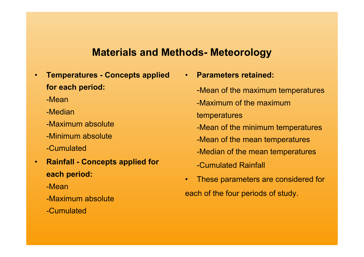# **Materials and Methods- Meteorology**

- • **Temperatures - Concepts applied for each period:**
	- -Mean
	- -Median
	- -Maximum absolute
	- -Minimum absolute
	- -Cumulated
- • **Rainfall - Concepts applied for each period:**
	- -Mean
	- -Maximum absolute
	- -Cumulated
- • **Parameters retained:**
	- -Mean of the maximum temperatures -Maximum of the maximumtemperatures -Mean of the minimum temperatures -Mean of the mean temperatures -Median of the mean temperatures -Cumulated Rainfall
- • These parameters are considered for each of the four periods of study.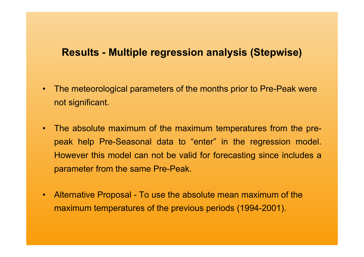# **Results - Multiple regression analysis (Stepwise)**

- • The meteorological parameters of the months prior to Pre-Peak were not significant.
- The absolute maximum of the maximum temperatures from the prepeak help Pre-Seasonal data to "enter" in the regression model. However this model can not be valid for forecasting since includes a parameter from the same Pre-Peak.
- $\bullet$  Alternative Proposal - To use the absolute mean maximum of the maximum temperatures of the previous periods (1994-2001).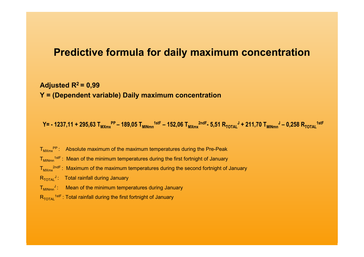### **Predictive formula for daily maximum concentration**

Adjusted  $R^2$  = 0.99 **Y = (Dependent variable) Daily maximum concentration**

 $Y=$  - 1237,11 + 295,63  $T_{MXmx}$ <sup>pp</sup> – 189,05  $T_{MINmn}$ <sup>1stF</sup> – 152,06  $T_{MXmx}$ <sup>2ndF</sup>- 5,51  $R_{TOTAL}$ <sup>J</sup> + 211,70  $T_{MINmn}$ <sup>J</sup> – 0,258  $R_{TOTAL}$ <sup>1stF</sup>

 $T_{M\times m}$ <sup>PP</sup> : Absolute maximum of the maximum temperatures during the Pre-Peak

 $T_{MINmn}$ <sup>1stF</sup> : Mean of the minimum temperatures during the first fortnight of January

 $T_{M\times m}^{2ndF}$ : Maximum of the maximum temperatures during the second fortnight of January

 $R_{\text{TOTAI}}$ <sup>J</sup>: Total rainfall during January

 $T_{MINmn}$ <sup>J</sup>: Mean of the minimum temperatures during January

 $R_{\text{total}}$ <sup>1stF</sup> : Total rainfall during the first fortnight of January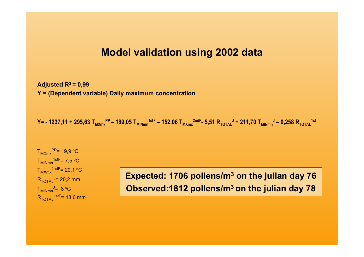# **Model validation using 2002 data**

Adjusted  $R^2$  = 0,99 **Y = (Dependent variable) Daily maximum concentration**

 $Y=$  - 1237,11 + 295,63  $T_{MXmx}$ <sup>PP</sup> – 189,05  $T_{MINmn}$ <sup>1stF</sup> – 152,06  $T_{MXmx}$ <sup>2ndF</sup>- 5,51  $R_{\text{TOTAL}}$ <sup>J</sup> + 211,70  $T_{MINmn}$ ,  $J$  – 0,258  $R_{\text{TOTAL}}$ <sup>1st</sup>

 $T_{M\times mx}^{PP}$  = 19,9 °C  $T_{\text{MINmn}}^{1stF} = 7.5 \text{ °C}$  $T_{M\times mx}$ <sup>2ndF</sup>= 20,1 <sup>o</sup>C  $R_{\text{total}}$ <sup>J</sup>= 20,2 mm  $T_{\text{MINmn}}^{\text{J}}= 8 \text{°C}$  $R_{\text{TOTAI}}$ <sup>1stF</sup>= 18,6 mm

**Expected: 1706 pollens/m 3 on the julian day 76 Observed:1812 pollens/m3 on the julian day 78**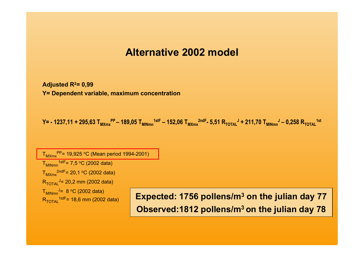# **Alternative 2002 model**

**Adjusted R2= 0,99 Y= Dependent variable, maximum concentration**

 $Y = -1237,11 + 295,63$  T<sub>MXmx</sub><sup>PP</sup> – 189,05 T<sub>MINmn</sub><sup>1stF</sup> – 152,06 T<sub>MXmx</sub><sup>2ndF</sup>- 5,51 R<sub>TOTAL</sub><sup>J</sup> + 211,70 T<sub>MINmn</sub><sup>J</sup> – 0,258 R<sub>TOTAL</sub><sup>1st</sup>

 $T_{M\times mx}^{PP}$ = 19,925 °C (Mean period 1994-2001)  $T<sub>MINmn</sub><sup>1stF</sup> = 7,5 °C (2002 data)$  $T_{MXmx}^{2ndF= 20,1 °C (2002 data)$  $R_{\text{TOTAI}}$ <sup>J</sup>= 20,2 mm (2002 data)  $T_{\text{MINmn}}$ <sup>J</sup>= 8 °C (2002 data)

 $R_{\text{Total}}^{\text{MINmm}}$  and  $R_{\text{Total}}^{\text{MINmm}}$  (2002 data) **Expected: 1756 pollens/m<sup>3</sup> on the julian day 77 Observed:1812 pollens/m3 on the julian day 78**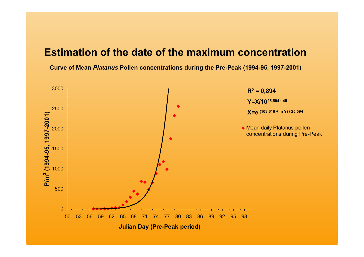# **Estimation of the date of the maximum concentration**

**Curve of Mean** *Platanus* **Pollen concentrations during the Pre-Peak (1994-95, 1997-2001)**

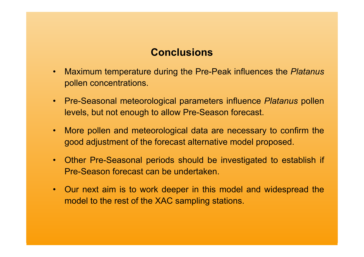# **Conclusions**

- • Maximum temperature during the Pre-Peak influences the *Platanus* pollen concentrations.
- Pre-Seasonal meteorological parameters influence *Platanus* pollen levels, but not enough to allow Pre-Season forecast.
- More pollen and meteorological data are necessary to confirm the good adjustment of the forecast alternative model proposed.
- Other Pre-Seasonal periods should be investigated to establish if Pre-Season forecast can be undertaken.
- Our next aim is to work deeper in this model and widespread the model to the rest of the XAC sampling stations.